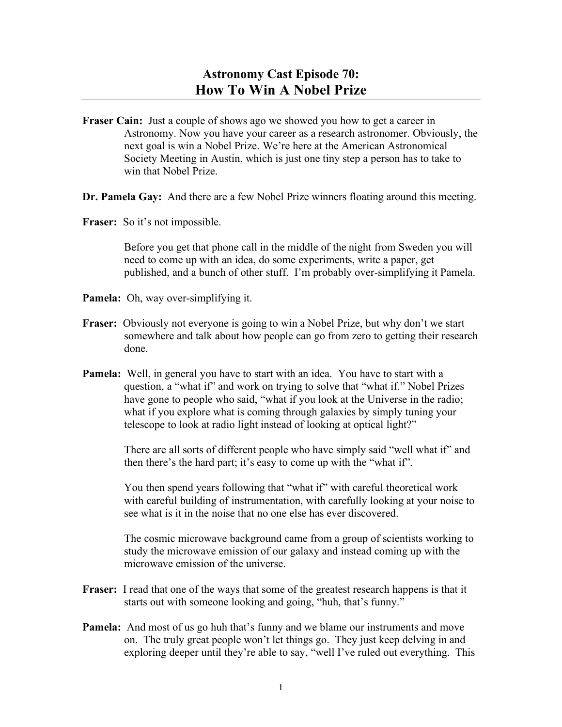- **Fraser Cain:** Just a couple of shows ago we showed you how to get a career in Astronomy. Now you have your career as a research astronomer. Obviously, the next goal is win a Nobel Prize. We're here at the American Astronomical Society Meeting in Austin, which is just one tiny step a person has to take to win that Nobel Prize.
- **Dr. Pamela Gay:** And there are a few Nobel Prize winners floating around this meeting.
- **Fraser:** So it's not impossible.

Before you get that phone call in the middle of the night from Sweden you will need to come up with an idea, do some experiments, write a paper, get published, and a bunch of other stuff. I'm probably over-simplifying it Pamela.

- **Pamela:** Oh, way over-simplifying it.
- **Fraser:** Obviously not everyone is going to win a Nobel Prize, but why don't we start somewhere and talk about how people can go from zero to getting their research done.
- **Pamela:** Well, in general you have to start with an idea. You have to start with a question, a "what if" and work on trying to solve that "what if." Nobel Prizes have gone to people who said, "what if you look at the Universe in the radio; what if you explore what is coming through galaxies by simply tuning your telescope to look at radio light instead of looking at optical light?"

There are all sorts of different people who have simply said "well what if" and then there's the hard part; it's easy to come up with the "what if".

You then spend years following that "what if" with careful theoretical work with careful building of instrumentation, with carefully looking at your noise to see what is it in the noise that no one else has ever discovered.

The cosmic microwave background came from a group of scientists working to study the microwave emission of our galaxy and instead coming up with the microwave emission of the universe.

- **Fraser:** I read that one of the ways that some of the greatest research happens is that it starts out with someone looking and going, "huh, that's funny."
- **Pamela:** And most of us go huh that's funny and we blame our instruments and move on. The truly great people won't let things go. They just keep delving in and exploring deeper until they're able to say, "well I've ruled out everything. This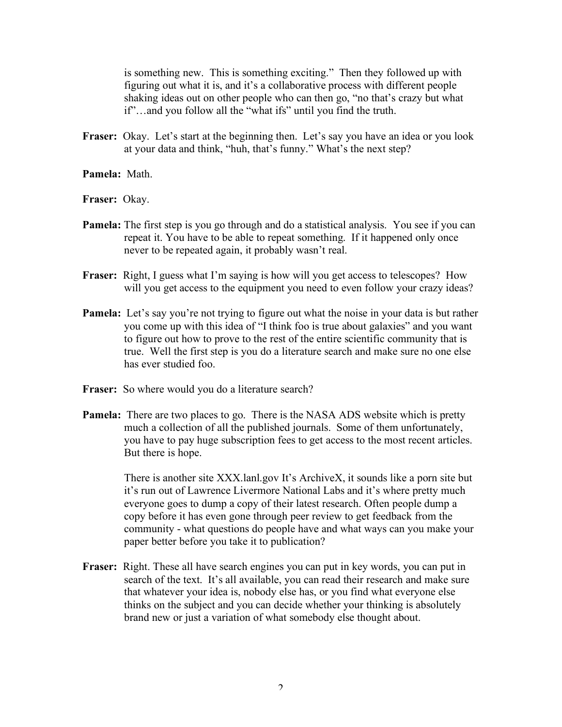is something new. This is something exciting." Then they followed up with figuring out what it is, and it's a collaborative process with different people shaking ideas out on other people who can then go, "no that's crazy but what if"…and you follow all the "what ifs" until you find the truth.

Fraser: Okay. Let's start at the beginning then. Let's say you have an idea or you look at your data and think, "huh, that's funny." What's the next step?

**Pamela:** Math.

**Fraser:** Okay.

- **Pamela:** The first step is you go through and do a statistical analysis. You see if you can repeat it. You have to be able to repeat something. If it happened only once never to be repeated again, it probably wasn't real.
- **Fraser:** Right, I guess what I'm saying is how will you get access to telescopes? How will you get access to the equipment you need to even follow your crazy ideas?
- **Pamela:** Let's say you're not trying to figure out what the noise in your data is but rather you come up with this idea of "I think foo is true about galaxies" and you want to figure out how to prove to the rest of the entire scientific community that is true. Well the first step is you do a literature search and make sure no one else has ever studied foo.
- **Fraser:** So where would you do a literature search?
- **Pamela:** There are two places to go. There is the NASA ADS website which is pretty much a collection of all the published journals. Some of them unfortunately, you have to pay huge subscription fees to get access to the most recent articles. But there is hope.

There is another site XXX.lanl.gov It's ArchiveX, it sounds like a porn site but it's run out of Lawrence Livermore National Labs and it's where pretty much everyone goes to dump a copy of their latest research. Often people dump a copy before it has even gone through peer review to get feedback from the community - what questions do people have and what ways can you make your paper better before you take it to publication?

**Fraser:** Right. These all have search engines you can put in key words, you can put in search of the text. It's all available, you can read their research and make sure that whatever your idea is, nobody else has, or you find what everyone else thinks on the subject and you can decide whether your thinking is absolutely brand new or just a variation of what somebody else thought about.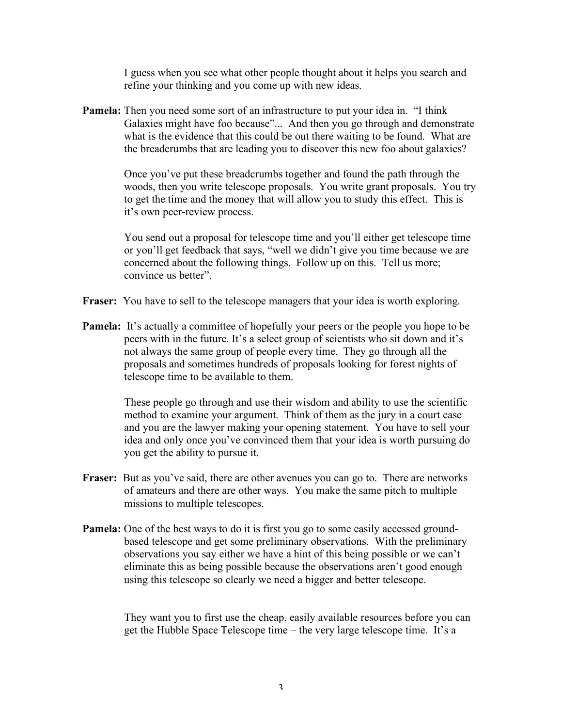I guess when you see what other people thought about it helps you search and refine your thinking and you come up with new ideas.

**Pamela:** Then you need some sort of an infrastructure to put your idea in. "I think Galaxies might have foo because"... And then you go through and demonstrate what is the evidence that this could be out there waiting to be found. What are the breadcrumbs that are leading you to discover this new foo about galaxies?

> Once you've put these breadcrumbs together and found the path through the woods, then you write telescope proposals. You write grant proposals. You try to get the time and the money that will allow you to study this effect. This is it's own peer-review process.

You send out a proposal for telescope time and you'll either get telescope time or you'll get feedback that says, "well we didn't give you time because we are concerned about the following things. Follow up on this. Tell us more; convince us better".

- **Fraser:** You have to sell to the telescope managers that your idea is worth exploring.
- **Pamela:** It's actually a committee of hopefully your peers or the people you hope to be peers with in the future. It's a select group of scientists who sit down and it's not always the same group of people every time. They go through all the proposals and sometimes hundreds of proposals looking for forest nights of telescope time to be available to them.

These people go through and use their wisdom and ability to use the scientific method to examine your argument. Think of them as the jury in a court case and you are the lawyer making your opening statement. You have to sell your idea and only once you've convinced them that your idea is worth pursuing do you get the ability to pursue it.

- **Fraser:** But as you've said, there are other avenues you can go to. There are networks of amateurs and there are other ways. You make the same pitch to multiple missions to multiple telescopes.
- **Pamela:** One of the best ways to do it is first you go to some easily accessed groundbased telescope and get some preliminary observations. With the preliminary observations you say either we have a hint of this being possible or we can't eliminate this as being possible because the observations aren't good enough using this telescope so clearly we need a bigger and better telescope.

They want you to first use the cheap, easily available resources before you can get the Hubble Space Telescope time – the very large telescope time. It's a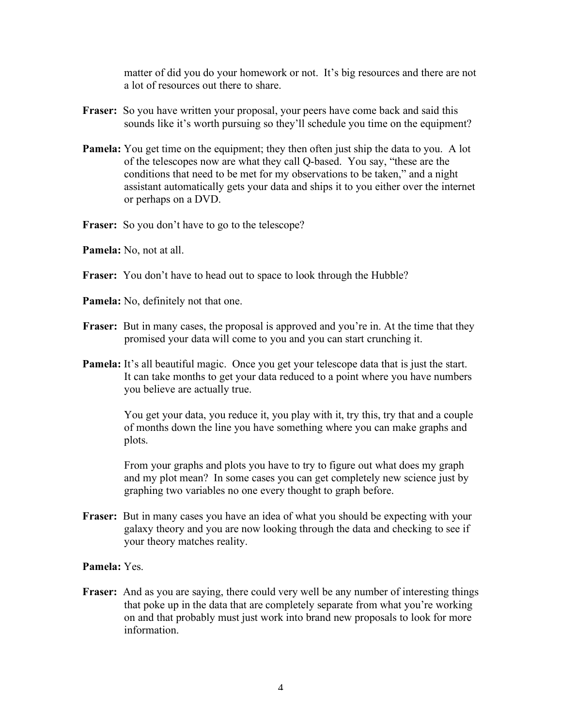matter of did you do your homework or not. It's big resources and there are not a lot of resources out there to share.

- **Fraser:** So you have written your proposal, your peers have come back and said this sounds like it's worth pursuing so they'll schedule you time on the equipment?
- **Pamela:** You get time on the equipment; they then often just ship the data to you. A lot of the telescopes now are what they call Q-based. You say, "these are the conditions that need to be met for my observations to be taken," and a night assistant automatically gets your data and ships it to you either over the internet or perhaps on a DVD.
- **Fraser:** So you don't have to go to the telescope?
- **Pamela:** No, not at all.
- **Fraser:** You don't have to head out to space to look through the Hubble?
- **Pamela:** No, definitely not that one.
- **Fraser:** But in many cases, the proposal is approved and you're in. At the time that they promised your data will come to you and you can start crunching it.
- **Pamela:** It's all beautiful magic. Once you get your telescope data that is just the start. It can take months to get your data reduced to a point where you have numbers you believe are actually true.

You get your data, you reduce it, you play with it, try this, try that and a couple of months down the line you have something where you can make graphs and plots.

From your graphs and plots you have to try to figure out what does my graph and my plot mean? In some cases you can get completely new science just by graphing two variables no one every thought to graph before.

**Fraser:** But in many cases you have an idea of what you should be expecting with your galaxy theory and you are now looking through the data and checking to see if your theory matches reality.

## **Pamela:** Yes.

**Fraser:** And as you are saying, there could very well be any number of interesting things that poke up in the data that are completely separate from what you're working on and that probably must just work into brand new proposals to look for more information.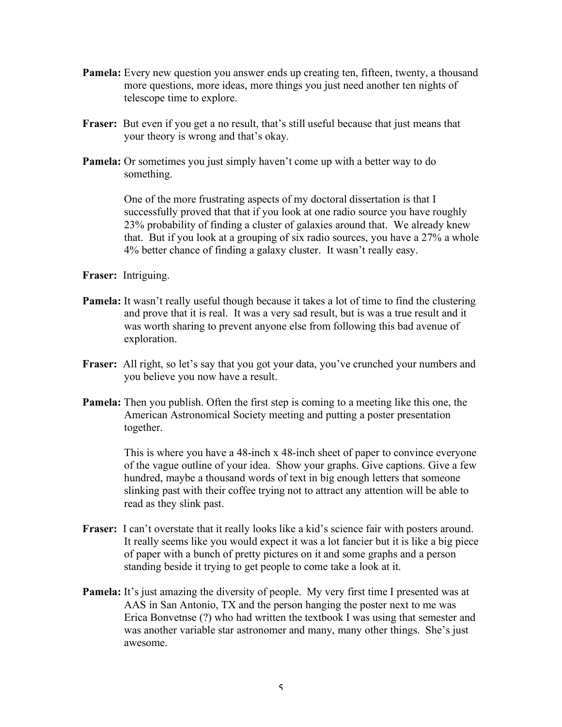- **Pamela:** Every new question you answer ends up creating ten, fifteen, twenty, a thousand more questions, more ideas, more things you just need another ten nights of telescope time to explore.
- **Fraser:** But even if you get a no result, that's still useful because that just means that your theory is wrong and that's okay.
- **Pamela:** Or sometimes you just simply haven't come up with a better way to do something.

One of the more frustrating aspects of my doctoral dissertation is that I successfully proved that that if you look at one radio source you have roughly 23% probability of finding a cluster of galaxies around that. We already knew that. But if you look at a grouping of six radio sources, you have a 27% a whole 4% better chance of finding a galaxy cluster. It wasn't really easy.

**Fraser:** Intriguing.

- **Pamela:** It wasn't really useful though because it takes a lot of time to find the clustering and prove that it is real. It was a very sad result, but is was a true result and it was worth sharing to prevent anyone else from following this bad avenue of exploration.
- **Fraser:** All right, so let's say that you got your data, you've crunched your numbers and you believe you now have a result.
- **Pamela:** Then you publish. Often the first step is coming to a meeting like this one, the American Astronomical Society meeting and putting a poster presentation together.

This is where you have a 48-inch x 48-inch sheet of paper to convince everyone of the vague outline of your idea. Show your graphs. Give captions. Give a few hundred, maybe a thousand words of text in big enough letters that someone slinking past with their coffee trying not to attract any attention will be able to read as they slink past.

- **Fraser:** I can't overstate that it really looks like a kid's science fair with posters around. It really seems like you would expect it was a lot fancier but it is like a big piece of paper with a bunch of pretty pictures on it and some graphs and a person standing beside it trying to get people to come take a look at it.
- **Pamela:** It's just amazing the diversity of people. My very first time I presented was at AAS in San Antonio, TX and the person hanging the poster next to me was Erica Bonvetnse (?) who had written the textbook I was using that semester and was another variable star astronomer and many, many other things. She's just awesome.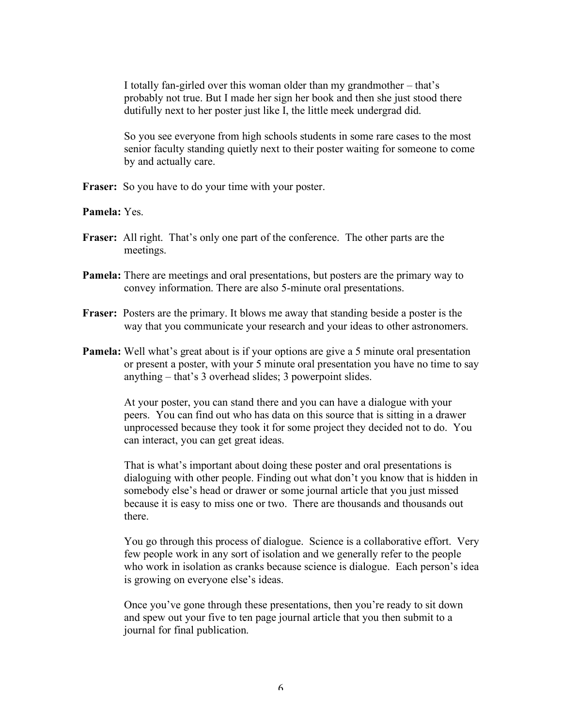I totally fan-girled over this woman older than my grandmother – that's probably not true. But I made her sign her book and then she just stood there dutifully next to her poster just like I, the little meek undergrad did.

So you see everyone from high schools students in some rare cases to the most senior faculty standing quietly next to their poster waiting for someone to come by and actually care.

Fraser: So you have to do your time with your poster.

## **Pamela:** Yes.

- **Fraser:** All right. That's only one part of the conference. The other parts are the meetings.
- **Pamela:** There are meetings and oral presentations, but posters are the primary way to convey information. There are also 5-minute oral presentations.
- **Fraser:** Posters are the primary. It blows me away that standing beside a poster is the way that you communicate your research and your ideas to other astronomers.
- **Pamela:** Well what's great about is if your options are give a 5 minute oral presentation or present a poster, with your 5 minute oral presentation you have no time to say anything – that's 3 overhead slides; 3 powerpoint slides.

At your poster, you can stand there and you can have a dialogue with your peers. You can find out who has data on this source that is sitting in a drawer unprocessed because they took it for some project they decided not to do. You can interact, you can get great ideas.

That is what's important about doing these poster and oral presentations is dialoguing with other people. Finding out what don't you know that is hidden in somebody else's head or drawer or some journal article that you just missed because it is easy to miss one or two. There are thousands and thousands out there.

You go through this process of dialogue. Science is a collaborative effort. Very few people work in any sort of isolation and we generally refer to the people who work in isolation as cranks because science is dialogue. Each person's idea is growing on everyone else's ideas.

Once you've gone through these presentations, then you're ready to sit down and spew out your five to ten page journal article that you then submit to a journal for final publication.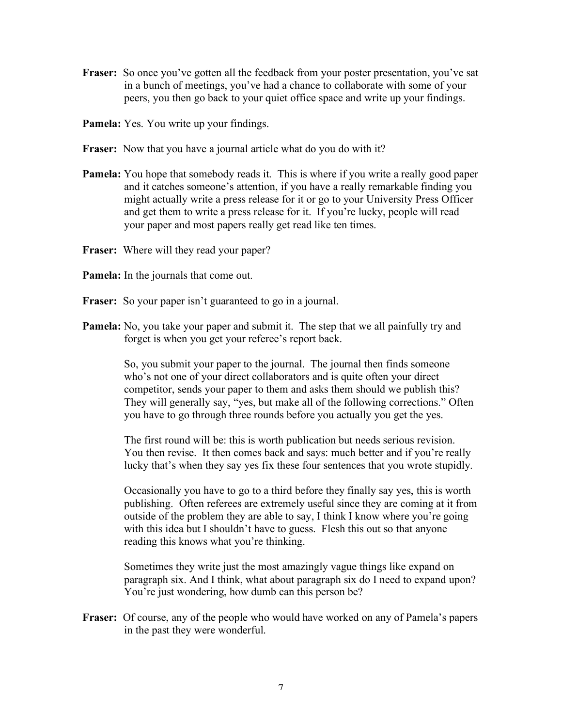- **Fraser:** So once you've gotten all the feedback from your poster presentation, you've sat in a bunch of meetings, you've had a chance to collaborate with some of your peers, you then go back to your quiet office space and write up your findings.
- **Pamela:** Yes. You write up your findings.
- **Fraser:** Now that you have a journal article what do you do with it?
- **Pamela:** You hope that somebody reads it. This is where if you write a really good paper and it catches someone's attention, if you have a really remarkable finding you might actually write a press release for it or go to your University Press Officer and get them to write a press release for it. If you're lucky, people will read your paper and most papers really get read like ten times.
- **Fraser:** Where will they read your paper?
- **Pamela:** In the journals that come out.
- **Fraser:** So your paper isn't guaranteed to go in a journal.
- **Pamela:** No, you take your paper and submit it. The step that we all painfully try and forget is when you get your referee's report back.

So, you submit your paper to the journal. The journal then finds someone who's not one of your direct collaborators and is quite often your direct competitor, sends your paper to them and asks them should we publish this? They will generally say, "yes, but make all of the following corrections." Often you have to go through three rounds before you actually you get the yes.

The first round will be: this is worth publication but needs serious revision. You then revise. It then comes back and says: much better and if you're really lucky that's when they say yes fix these four sentences that you wrote stupidly.

Occasionally you have to go to a third before they finally say yes, this is worth publishing. Often referees are extremely useful since they are coming at it from outside of the problem they are able to say, I think I know where you're going with this idea but I shouldn't have to guess. Flesh this out so that anyone reading this knows what you're thinking.

Sometimes they write just the most amazingly vague things like expand on paragraph six. And I think, what about paragraph six do I need to expand upon? You're just wondering, how dumb can this person be?

**Fraser:** Of course, any of the people who would have worked on any of Pamela's papers in the past they were wonderful.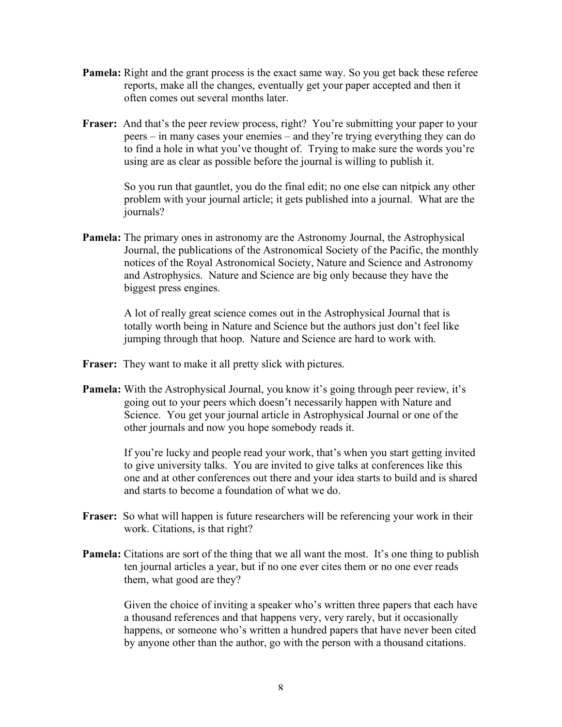- **Pamela:** Right and the grant process is the exact same way. So you get back these referee reports, make all the changes, eventually get your paper accepted and then it often comes out several months later.
- **Fraser:** And that's the peer review process, right? You're submitting your paper to your peers – in many cases your enemies – and they're trying everything they can do to find a hole in what you've thought of. Trying to make sure the words you're using are as clear as possible before the journal is willing to publish it.

So you run that gauntlet, you do the final edit; no one else can nitpick any other problem with your journal article; it gets published into a journal. What are the journals?

**Pamela:** The primary ones in astronomy are the Astronomy Journal, the Astrophysical Journal, the publications of the Astronomical Society of the Pacific, the monthly notices of the Royal Astronomical Society, Nature and Science and Astronomy and Astrophysics. Nature and Science are big only because they have the biggest press engines.

> A lot of really great science comes out in the Astrophysical Journal that is totally worth being in Nature and Science but the authors just don't feel like jumping through that hoop. Nature and Science are hard to work with.

- **Fraser:** They want to make it all pretty slick with pictures.
- **Pamela:** With the Astrophysical Journal, you know it's going through peer review, it's going out to your peers which doesn't necessarily happen with Nature and Science. You get your journal article in Astrophysical Journal or one of the other journals and now you hope somebody reads it.

If you're lucky and people read your work, that's when you start getting invited to give university talks. You are invited to give talks at conferences like this one and at other conferences out there and your idea starts to build and is shared and starts to become a foundation of what we do.

- **Fraser:** So what will happen is future researchers will be referencing your work in their work. Citations, is that right?
- **Pamela:** Citations are sort of the thing that we all want the most. It's one thing to publish ten journal articles a year, but if no one ever cites them or no one ever reads them, what good are they?

Given the choice of inviting a speaker who's written three papers that each have a thousand references and that happens very, very rarely, but it occasionally happens, or someone who's written a hundred papers that have never been cited by anyone other than the author, go with the person with a thousand citations.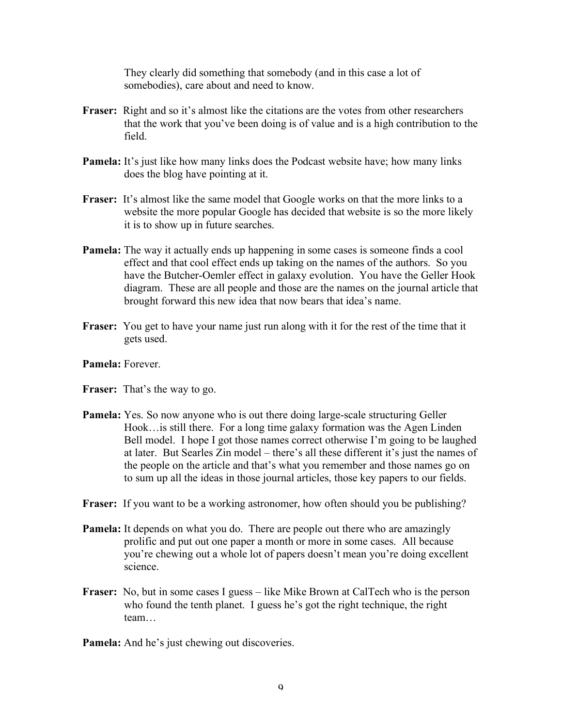They clearly did something that somebody (and in this case a lot of somebodies), care about and need to know.

- **Fraser:** Right and so it's almost like the citations are the votes from other researchers that the work that you've been doing is of value and is a high contribution to the field.
- **Pamela:** It's just like how many links does the Podcast website have; how many links does the blog have pointing at it.
- **Fraser:** It's almost like the same model that Google works on that the more links to a website the more popular Google has decided that website is so the more likely it is to show up in future searches.
- **Pamela:** The way it actually ends up happening in some cases is someone finds a cool effect and that cool effect ends up taking on the names of the authors. So you have the Butcher-Oemler effect in galaxy evolution. You have the Geller Hook diagram. These are all people and those are the names on the journal article that brought forward this new idea that now bears that idea's name.
- **Fraser:** You get to have your name just run along with it for the rest of the time that it gets used.
- **Pamela:** Forever.
- **Fraser:** That's the way to go.
- **Pamela:** Yes. So now anyone who is out there doing large-scale structuring Geller Hook…is still there. For a long time galaxy formation was the Agen Linden Bell model. I hope I got those names correct otherwise I'm going to be laughed at later. But Searles Zin model – there's all these different it's just the names of the people on the article and that's what you remember and those names go on to sum up all the ideas in those journal articles, those key papers to our fields.
- **Fraser:** If you want to be a working astronomer, how often should you be publishing?
- **Pamela:** It depends on what you do. There are people out there who are amazingly prolific and put out one paper a month or more in some cases. All because you're chewing out a whole lot of papers doesn't mean you're doing excellent science.
- **Fraser:** No, but in some cases I guess like Mike Brown at CalTech who is the person who found the tenth planet. I guess he's got the right technique, the right team…
- **Pamela:** And he's just chewing out discoveries.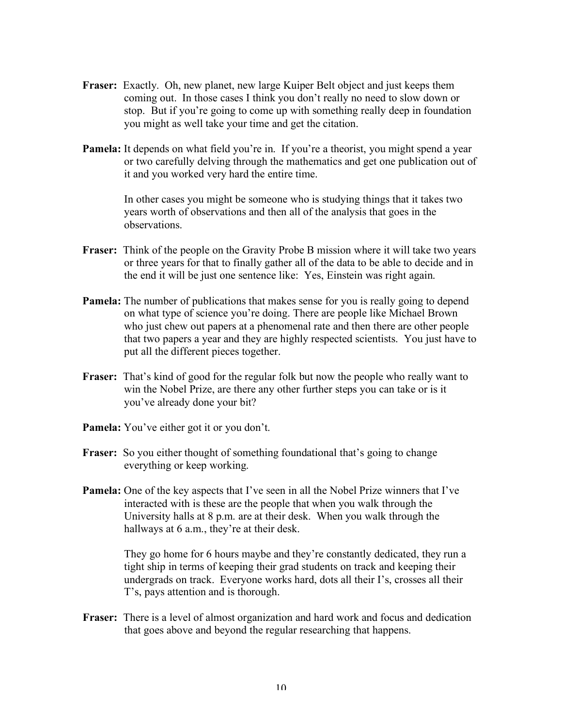- **Fraser:** Exactly. Oh, new planet, new large Kuiper Belt object and just keeps them coming out. In those cases I think you don't really no need to slow down or stop. But if you're going to come up with something really deep in foundation you might as well take your time and get the citation.
- **Pamela:** It depends on what field you're in. If you're a theorist, you might spend a year or two carefully delving through the mathematics and get one publication out of it and you worked very hard the entire time.

In other cases you might be someone who is studying things that it takes two years worth of observations and then all of the analysis that goes in the observations.

- **Fraser:** Think of the people on the Gravity Probe B mission where it will take two years or three years for that to finally gather all of the data to be able to decide and in the end it will be just one sentence like: Yes, Einstein was right again.
- **Pamela:** The number of publications that makes sense for you is really going to depend on what type of science you're doing. There are people like Michael Brown who just chew out papers at a phenomenal rate and then there are other people that two papers a year and they are highly respected scientists. You just have to put all the different pieces together.
- **Fraser:** That's kind of good for the regular folk but now the people who really want to win the Nobel Prize, are there any other further steps you can take or is it you've already done your bit?
- **Pamela:** You've either got it or you don't.
- **Fraser:** So you either thought of something foundational that's going to change everything or keep working.
- **Pamela:** One of the key aspects that I've seen in all the Nobel Prize winners that I've interacted with is these are the people that when you walk through the University halls at 8 p.m. are at their desk. When you walk through the hallways at 6 a.m., they're at their desk.

They go home for 6 hours maybe and they're constantly dedicated, they run a tight ship in terms of keeping their grad students on track and keeping their undergrads on track. Everyone works hard, dots all their I's, crosses all their T's, pays attention and is thorough.

**Fraser:** There is a level of almost organization and hard work and focus and dedication that goes above and beyond the regular researching that happens.